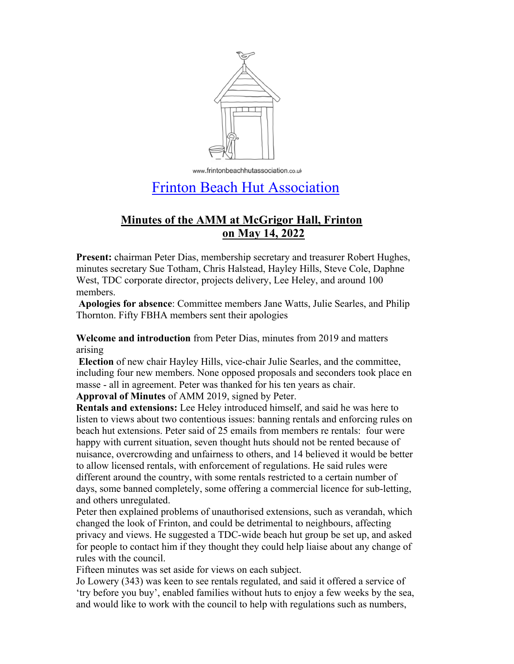

www.frintonbeachhutassociation.co.uk

# Frinton Beach Hut Association

## **Minutes of the AMM at McGrigor Hall, Frinton on May 14, 2022**

**Present:** chairman Peter Dias, membership secretary and treasurer Robert Hughes, minutes secretary Sue Totham, Chris Halstead, Hayley Hills, Steve Cole, Daphne West, TDC corporate director, projects delivery, Lee Heley, and around 100 members.

**Apologies for absence**: Committee members Jane Watts, Julie Searles, and Philip Thornton. Fifty FBHA members sent their apologies

**Welcome and introduction** from Peter Dias, minutes from 2019 and matters arising

**Election** of new chair Hayley Hills, vice-chair Julie Searles, and the committee, including four new members. None opposed proposals and seconders took place en masse - all in agreement. Peter was thanked for his ten years as chair.

**Approval of Minutes** of AMM 2019, signed by Peter.

**Rentals and extensions:** Lee Heley introduced himself, and said he was here to listen to views about two contentious issues: banning rentals and enforcing rules on beach hut extensions. Peter said of 25 emails from members re rentals: four were happy with current situation, seven thought huts should not be rented because of nuisance, overcrowding and unfairness to others, and 14 believed it would be better to allow licensed rentals, with enforcement of regulations. He said rules were different around the country, with some rentals restricted to a certain number of days, some banned completely, some offering a commercial licence for sub-letting, and others unregulated.

Peter then explained problems of unauthorised extensions, such as verandah, which changed the look of Frinton, and could be detrimental to neighbours, affecting privacy and views. He suggested a TDC-wide beach hut group be set up, and asked for people to contact him if they thought they could help liaise about any change of rules with the council.

Fifteen minutes was set aside for views on each subject.

Jo Lowery (343) was keen to see rentals regulated, and said it offered a service of 'try before you buy', enabled families without huts to enjoy a few weeks by the sea, and would like to work with the council to help with regulations such as numbers,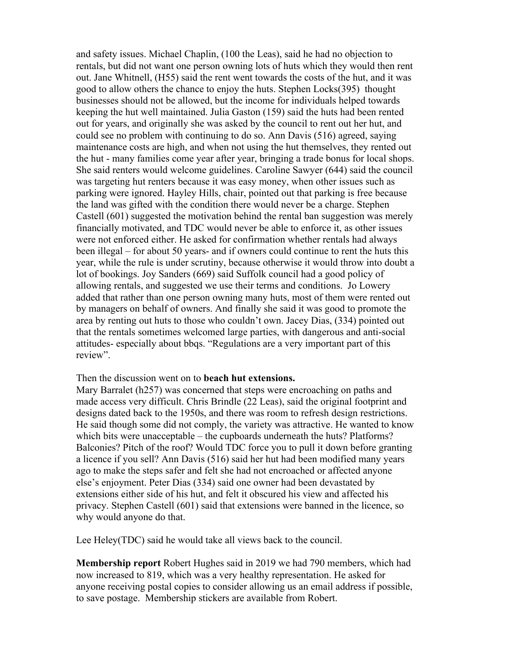and safety issues. Michael Chaplin, (100 the Leas), said he had no objection to rentals, but did not want one person owning lots of huts which they would then rent out. Jane Whitnell, (H55) said the rent went towards the costs of the hut, and it was good to allow others the chance to enjoy the huts. Stephen Locks(395) thought businesses should not be allowed, but the income for individuals helped towards keeping the hut well maintained. Julia Gaston (159) said the huts had been rented out for years, and originally she was asked by the council to rent out her hut, and could see no problem with continuing to do so. Ann Davis (516) agreed, saying maintenance costs are high, and when not using the hut themselves, they rented out the hut - many families come year after year, bringing a trade bonus for local shops. She said renters would welcome guidelines. Caroline Sawyer (644) said the council was targeting hut renters because it was easy money, when other issues such as parking were ignored. Hayley Hills, chair, pointed out that parking is free because the land was gifted with the condition there would never be a charge. Stephen Castell (601) suggested the motivation behind the rental ban suggestion was merely financially motivated, and TDC would never be able to enforce it, as other issues were not enforced either. He asked for confirmation whether rentals had always been illegal – for about 50 years- and if owners could continue to rent the huts this year, while the rule is under scrutiny, because otherwise it would throw into doubt a lot of bookings. Joy Sanders (669) said Suffolk council had a good policy of allowing rentals, and suggested we use their terms and conditions. Jo Lowery added that rather than one person owning many huts, most of them were rented out by managers on behalf of owners. And finally she said it was good to promote the area by renting out huts to those who couldn't own. Jacey Dias, (334) pointed out that the rentals sometimes welcomed large parties, with dangerous and anti-social attitudes- especially about bbqs. "Regulations are a very important part of this review".

#### Then the discussion went on to **beach hut extensions.**

Mary Barralet (h257) was concerned that steps were encroaching on paths and made access very difficult. Chris Brindle (22 Leas), said the original footprint and designs dated back to the 1950s, and there was room to refresh design restrictions. He said though some did not comply, the variety was attractive. He wanted to know which bits were unacceptable – the cupboards underneath the huts? Platforms? Balconies? Pitch of the roof? Would TDC force you to pull it down before granting a licence if you sell? Ann Davis (516) said her hut had been modified many years ago to make the steps safer and felt she had not encroached or affected anyone else's enjoyment. Peter Dias (334) said one owner had been devastated by extensions either side of his hut, and felt it obscured his view and affected his privacy. Stephen Castell (601) said that extensions were banned in the licence, so why would anyone do that.

Lee Heley(TDC) said he would take all views back to the council.

**Membership report** Robert Hughes said in 2019 we had 790 members, which had now increased to 819, which was a very healthy representation. He asked for anyone receiving postal copies to consider allowing us an email address if possible, to save postage. Membership stickers are available from Robert.